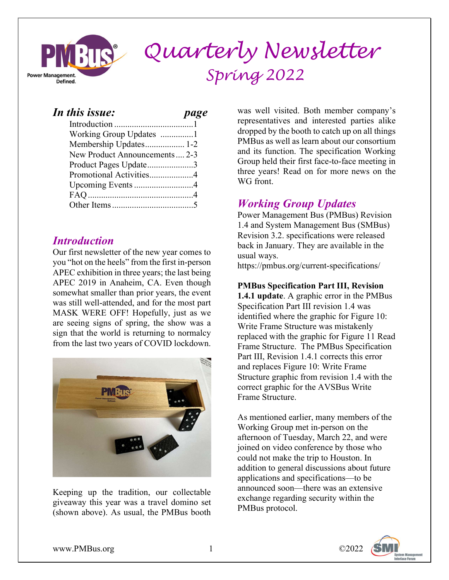

# **M**RIIS<sup>®</sup> Quarterly Newsletter  $Spring 2022$

### In this issue: page

### **Introduction**

Our first newsletter of the new year comes to you "hot on the heels" from the first in-person APEC exhibition in three years; the last being APEC 2019 in Anaheim, CA. Even though somewhat smaller than prior years, the event was still well-attended, and for the most part MASK WERE OFF! Hopefully, just as we are seeing signs of spring, the show was a sign that the world is returning to normalcy from the last two years of COVID lockdown.



Keeping up the tradition, our collectable giveaway this year was a travel domino set (shown above). As usual, the PMBus booth

was well visited. Both member company's representatives and interested parties alike dropped by the booth to catch up on all things PMBus as well as learn about our consortium and its function. The specification Working Group held their first face-to-face meeting in three years! Read on for more news on the WG front.

## Working Group Updates

Power Management Bus (PMBus) Revision 1.4 and System Management Bus (SMBus) Revision 3.2. specifications were released back in January. They are available in the usual ways.

https://pmbus.org/current-specifications/

#### PMBus Specification Part III, Revision

1.4.1 update. A graphic error in the PMBus Specification Part III revision 1.4 was identified where the graphic for Figure 10: Write Frame Structure was mistakenly replaced with the graphic for Figure 11 Read Frame Structure. The PMBus Specification Part III, Revision 1.4.1 corrects this error and replaces Figure 10: Write Frame Structure graphic from revision 1.4 with the correct graphic for the AVSBus Write Frame Structure.

As mentioned earlier, many members of the Working Group met in-person on the afternoon of Tuesday, March 22, and were joined on video conference by those who could not make the trip to Houston. In addition to general discussions about future applications and specifications—to be announced soon—there was an extensive exchange regarding security within the PMBus protocol.

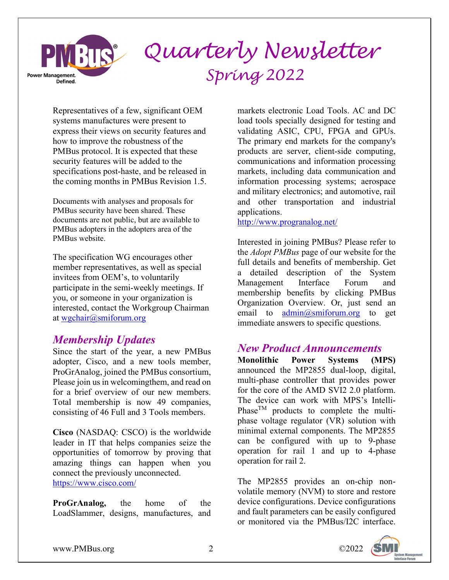

Representatives of a few, significant OEM systems manufactures were present to express their views on security features and how to improve the robustness of the PMBus protocol. It is expected that these security features will be added to the specifications post-haste, and be released in the coming months in PMBus Revision 1.5.

Documents with analyses and proposals for PMBus security have been shared. These documents are not public, but are available to PMBus adopters in the adopters area of the PMBus website.

The specification WG encourages other member representatives, as well as special invitees from OEM's, to voluntarily participate in the semi-weekly meetings. If you, or someone in your organization is interested, contact the Workgroup Chairman at wgchair@smiforum.org

#### Membership Updates

Since the start of the year, a new PMBus adopter, Cisco, and a new tools member, ProGrAnalog, joined the PMBus consortium, Please join us in welcomingthem, and read on for a brief overview of our new members. Total membership is now 49 companies, consisting of 46 Full and 3 Tools members.

Cisco (NASDAQ: CSCO) is the worldwide leader in IT that helps companies seize the opportunities of tomorrow by proving that amazing things can happen when you connect the previously unconnected. https://www.cisco.com/

ProGrAnalog, the home of the LoadSlammer, designs, manufactures, and markets electronic Load Tools. AC and DC load tools specially designed for testing and validating ASIC, CPU, FPGA and GPUs. The primary end markets for the company's products are server, client-side computing, communications and information processing markets, including data communication and information processing systems; aerospace and military electronics; and automotive, rail and other transportation and industrial applications.

http://www.progranalog.net/

Interested in joining PMBus? Please refer to the *Adopt PMBus* page of our website for the full details and benefits of membership. Get a detailed description of the System Management Interface Forum and membership benefits by clicking PMBus Organization Overview. Or, just send an email to  $\text{admin}(\omega, \text{smiforum.org})$  to get immediate answers to specific questions.

#### New Product Announcements

Monolithic Power Systems (MPS) announced the MP2855 dual-loop, digital, multi-phase controller that provides power for the core of the AMD SVI2 2.0 platform. The device can work with MPS's Intelli-Phase<sup>TM</sup> products to complete the multiphase voltage regulator (VR) solution with minimal external components. The MP2855 can be configured with up to 9-phase operation for rail 1 and up to 4-phase operation for rail 2.

The MP2855 provides an on-chip nonvolatile memory (NVM) to store and restore device configurations. Device configurations and fault parameters can be easily configured or monitored via the PMBus/I2C interface.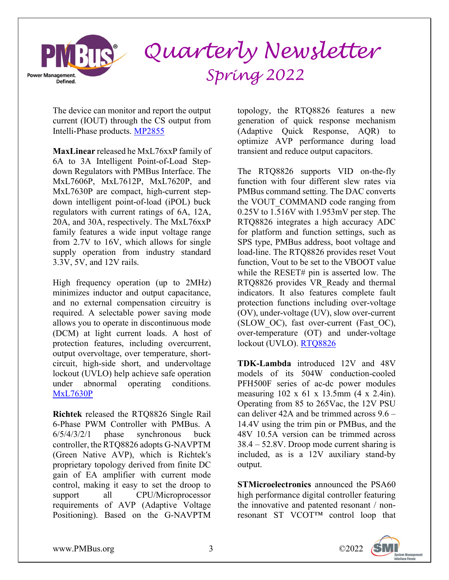

The device can monitor and report the output current (IOUT) through the CS output from Intelli-Phase products. MP2855

MaxLinear released he MxL76xxP family of 6A to 3A Intelligent Point-of-Load Stepdown Regulators with PMBus Interface. The MxL7606P, MxL7612P, MxL7620P, and MxL7630P are compact, high-current stepdown intelligent point-of-load (iPOL) buck regulators with current ratings of 6A, 12A, 20A, and 30A, respectively. The MxL76xxP family features a wide input voltage range from 2.7V to 16V, which allows for single supply operation from industry standard 3.3V, 5V, and 12V rails.

High frequency operation (up to 2MHz) minimizes inductor and output capacitance, and no external compensation circuitry is required. A selectable power saving mode allows you to operate in discontinuous mode (DCM) at light current loads. A host of protection features, including overcurrent, output overvoltage, over temperature, shortcircuit, high-side short, and undervoltage lockout (UVLO) help achieve safe operation under abnormal operating conditions. MxL7630P

Richtek released the RTQ8826 Single Rail 6-Phase PWM Controller with PMBus. A 6/5/4/3/2/1 phase synchronous buck controller, the RTQ8826 adopts G-NAVPTM (Green Native AVP), which is Richtek′s proprietary topology derived from finite DC gain of EA amplifier with current mode control, making it easy to set the droop to support all CPU/Microprocessor requirements of AVP (Adaptive Voltage Positioning). Based on the G-NAVPTM topology, the RTQ8826 features a new generation of quick response mechanism (Adaptive Quick Response, AQR) to optimize AVP performance during load transient and reduce output capacitors.

The RTQ8826 supports VID on-the-fly function with four different slew rates via PMBus command setting. The DAC converts the VOUT COMMAND code ranging from 0.25V to 1.516V with 1.953mV per step. The RTQ8826 integrates a high accuracy ADC for platform and function settings, such as SPS type, PMBus address, boot voltage and load-line. The RTQ8826 provides reset Vout function, Vout to be set to the VBOOT value while the RESET# pin is asserted low. The RTQ8826 provides VR\_Ready and thermal indicators. It also features complete fault protection functions including over-voltage (OV), under-voltage (UV), slow over-current (SLOW\_OC), fast over-current (Fast\_OC), over-temperature (OT) and under-voltage lockout (UVLO). RTQ8826

TDK-Lambda introduced 12V and 48V models of its 504W conduction-cooled PFH500F series of ac-dc power modules measuring 102 x 61 x 13.5mm (4 x 2.4in). Operating from 85 to 265Vac, the 12V PSU can deliver 42A and be trimmed across 9.6 – 14.4V using the trim pin or PMBus, and the 48V 10.5A version can be trimmed across 38.4 – 52.8V. Droop mode current sharing is included, as is a 12V auxiliary stand-by output.

STMicroelectronics announced the PSA60 high performance digital controller featuring the innovative and patented resonant / nonresonant ST VCOT™ control loop that

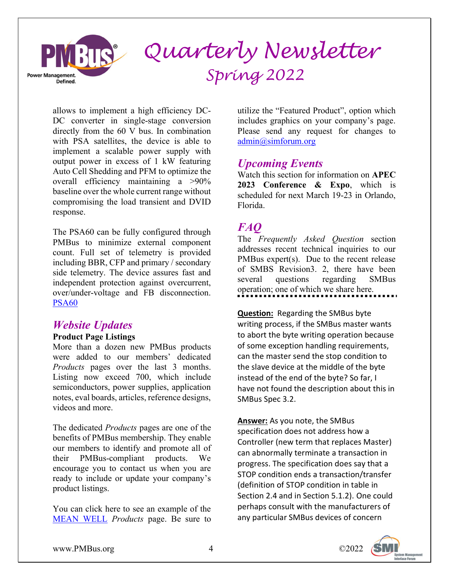

allows to implement a high efficiency DC-DC converter in single-stage conversion directly from the 60 V bus. In combination with PSA satellites, the device is able to implement a scalable power supply with output power in excess of 1 kW featuring Auto Cell Shedding and PFM to optimize the overall efficiency maintaining a >90% baseline over the whole current range without compromising the load transient and DVID response.

The PSA60 can be fully configured through PMBus to minimize external component count. Full set of telemetry is provided including BBR, CFP and primary / secondary side telemetry. The device assures fast and independent protection against overcurrent, over/under-voltage and FB disconnection. PSA60

#### Website Updates

#### Product Page Listings

More than a dozen new PMBus products were added to our members' dedicated Products pages over the last 3 months. Listing now exceed 700, which include semiconductors, power supplies, application notes, eval boards, articles, reference designs, videos and more.

The dedicated *Products* pages are one of the benefits of PMBus membership. They enable our members to identify and promote all of their PMBus-compliant products. We encourage you to contact us when you are ready to include or update your company's product listings.

You can click here to see an example of the MEAN WELL Products page. Be sure to utilize the "Featured Product", option which includes graphics on your company's page. Please send any request for changes to admin@simforum.org

#### Upcoming Events

Watch this section for information on APEC 2023 Conference & Expo, which is scheduled for next March 19-23 in Orlando, Florida.

#### FAQ

The *Frequently Asked Question* section addresses recent technical inquiries to our PMBus expert(s). Due to the recent release of SMBS Revision3. 2, there have been several questions regarding SMBus operation; one of which we share here.

**Question:** Regarding the SMBus byte writing process, if the SMBus master wants to abort the byte writing operation because of some exception handling requirements, can the master send the stop condition to the slave device at the middle of the byte instead of the end of the byte? So far, I have not found the description about this in SMBus Spec 3.2.

Answer: As you note, the SMBus specification does not address how a Controller (new term that replaces Master) can abnormally terminate a transaction in progress. The specification does say that a STOP condition ends a transaction/transfer (definition of STOP condition in table in Section 2.4 and in Section 5.1.2). One could perhaps consult with the manufacturers of any particular SMBus devices of concern